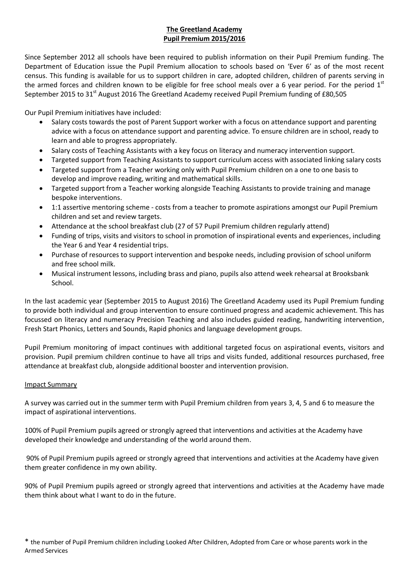# **The Greetland Academy Pupil Premium 2015/2016**

Since September 2012 all schools have been required to publish information on their Pupil Premium funding. The Department of Education issue the Pupil Premium allocation to schools based on 'Ever 6' as of the most recent census. This funding is available for us to support children in care, adopted children, children of parents serving in the armed forces and children known to be eligible for free school meals over a 6 year period. For the period  $1<sup>st</sup>$ September 2015 to 31<sup>st</sup> August 2016 The Greetland Academy received Pupil Premium funding of £80,505

Our Pupil Premium initiatives have included:

- Salary costs towards the post of Parent Support worker with a focus on attendance support and parenting advice with a focus on attendance support and parenting advice. To ensure children are in school, ready to learn and able to progress appropriately.
- Salary costs of Teaching Assistants with a key focus on literacy and numeracy intervention support.
- Targeted support from Teaching Assistants to support curriculum access with associated linking salary costs
- Targeted support from a Teacher working only with Pupil Premium children on a one to one basis to develop and improve reading, writing and mathematical skills.
- Targeted support from a Teacher working alongside Teaching Assistants to provide training and manage bespoke interventions.
- 1:1 assertive mentoring scheme costs from a teacher to promote aspirations amongst our Pupil Premium children and set and review targets.
- Attendance at the school breakfast club (27 of 57 Pupil Premium children regularly attend)
- Funding of trips, visits and visitors to school in promotion of inspirational events and experiences, including the Year 6 and Year 4 residential trips.
- Purchase of resources to support intervention and bespoke needs, including provision of school uniform and free school milk.
- Musical instrument lessons, including brass and piano, pupils also attend week rehearsal at Brooksbank School.

In the last academic year (September 2015 to August 2016) The Greetland Academy used its Pupil Premium funding to provide both individual and group intervention to ensure continued progress and academic achievement. This has focussed on literacy and numeracy Precision Teaching and also includes guided reading, handwriting intervention, Fresh Start Phonics, Letters and Sounds, Rapid phonics and language development groups.

Pupil Premium monitoring of impact continues with additional targeted focus on aspirational events, visitors and provision. Pupil premium children continue to have all trips and visits funded, additional resources purchased, free attendance at breakfast club, alongside additional booster and intervention provision.

#### Impact Summary

A survey was carried out in the summer term with Pupil Premium children from years 3, 4, 5 and 6 to measure the impact of aspirational interventions.

100% of Pupil Premium pupils agreed or strongly agreed that interventions and activities at the Academy have developed their knowledge and understanding of the world around them.

90% of Pupil Premium pupils agreed or strongly agreed that interventions and activities at the Academy have given them greater confidence in my own ability.

90% of Pupil Premium pupils agreed or strongly agreed that interventions and activities at the Academy have made them think about what I want to do in the future.

<sup>\*</sup> the number of Pupil Premium children including Looked After Children, Adopted from Care or whose parents work in the Armed Services